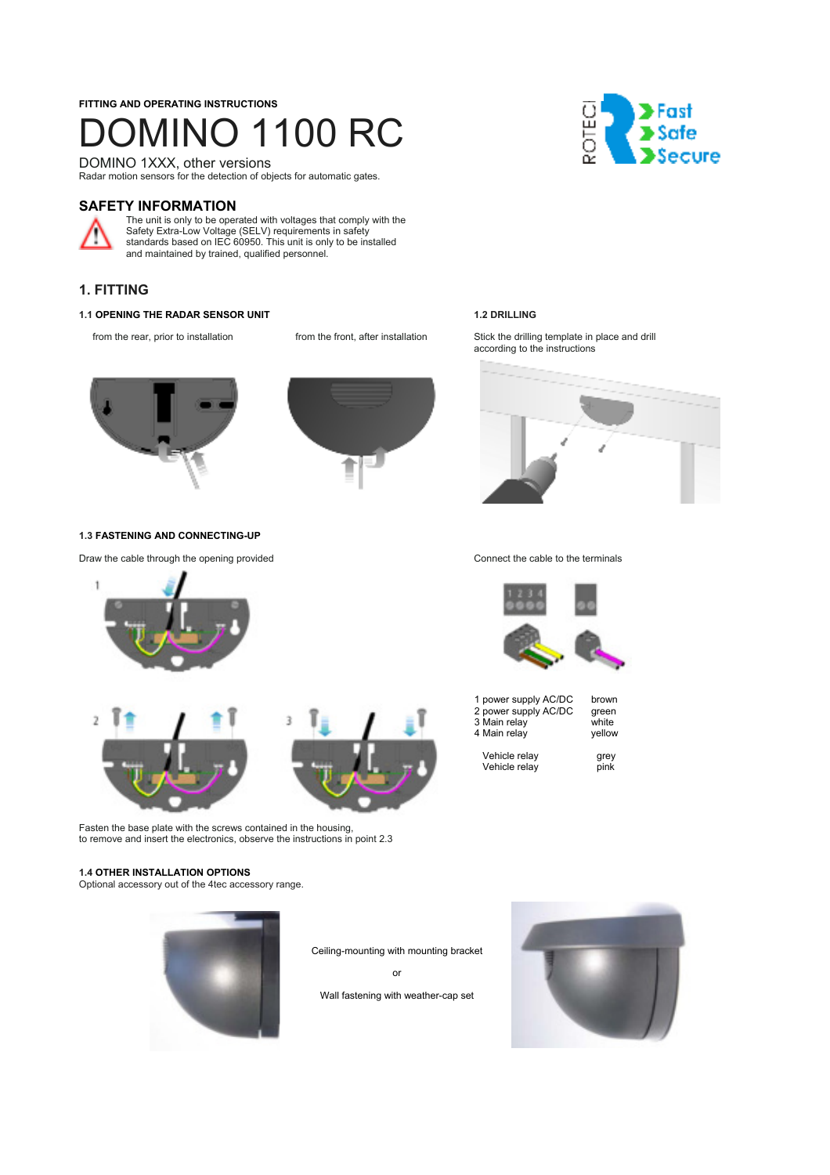## **FITTING AND OPERATING INSTRUCTIONS**  1INO 1100 RC

DOMINO 1XXX, other versions Radar motion sensors for the detection of objects for automatic gates.

## **SAFETY INFORMATION**



The unit is only to be operated with voltages that comply with the Safety Extra-Low Voltage (SELV) requirements in safety standards based on IEC 60950. This unit is only to be installed and maintained by trained, qualified personnel.

## **1. FITTING**

### **1.1 OPENING THE RADAR SENSOR UNIT 1.2 DRILLING**





#### **1.3 FASTENING AND CONNECTING-UP**

Draw the cable through the opening provided Connect the cable to the terminals



Fasten the base plate with the screws contained in the housing, to remove and insert the electronics, observe the instructions in point 2.3

#### **1.4 OTHER INSTALLATION OPTIONS**

Optional accessory out of the 4tec accessory range.



Ceiling-mounting with mounting bracket or Wall fastening with weather-cap set





from the rear, prior to installation from the front, after installation Stick the drilling template in place and drill according to the instructions





| 1 power supply AC/DC | brown  |
|----------------------|--------|
| 2 power supply AC/DC | green  |
| 3 Main relay         | white  |
| 4 Main relay         | vellow |
| Vehicle relay        |        |
|                      | grey   |
| Vehicle relay        | pink   |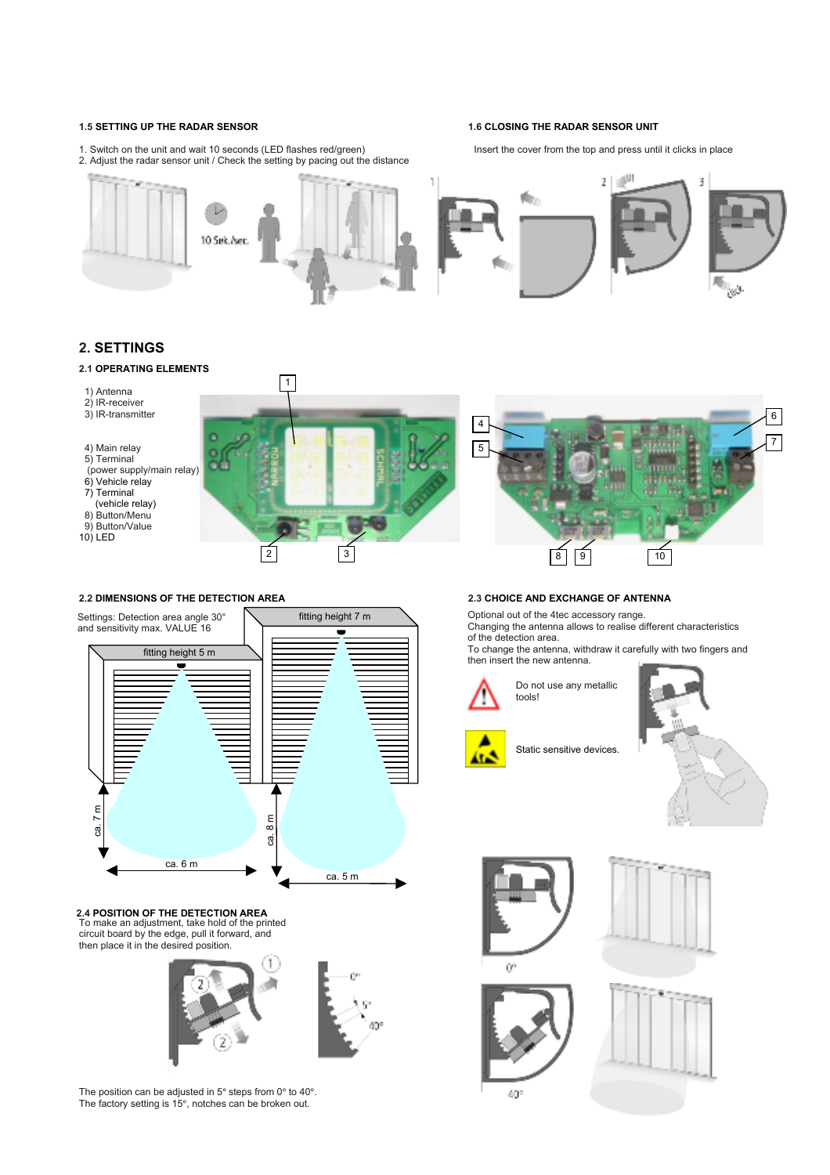1. Switch on the unit and wait 10 seconds (LED flashes red/green) Insert the cover from the top and press until it clicks in place

### **1.5 SETTING UP THE RADAR SENSOR 1.6 CLOSING THE RADAR SENSOR UNIT**



### **. SETTINGS 2**

#### **2.1 OPERATING ELEMENTS**



#### **2 DIMENSIONS OF THE DETECTION AREA 2. 2.3 CHOICE AND EXCHANGE OF ANTENNA**



#### **2.4 POSITION OF THE DETECTION AREA**<br>To make an adjustment, take hold of the printed circuit board by the edge, pull it forward, and then place it in the desired position.



The position can be adjusted in  $5^{\circ}$  steps from 0 $^{\circ}$  to 40 $^{\circ}$ . The factory setting is 15°, notches can be broken out.

Optional out of the 4tec accessory range.

Changing the antenna allows to realise different characteristics of the detection area.

To change the antenna, withdraw it carefully with two fingers and then insert the new antenna.



Do not use any metallic tools!



Static sensitive devices.











40°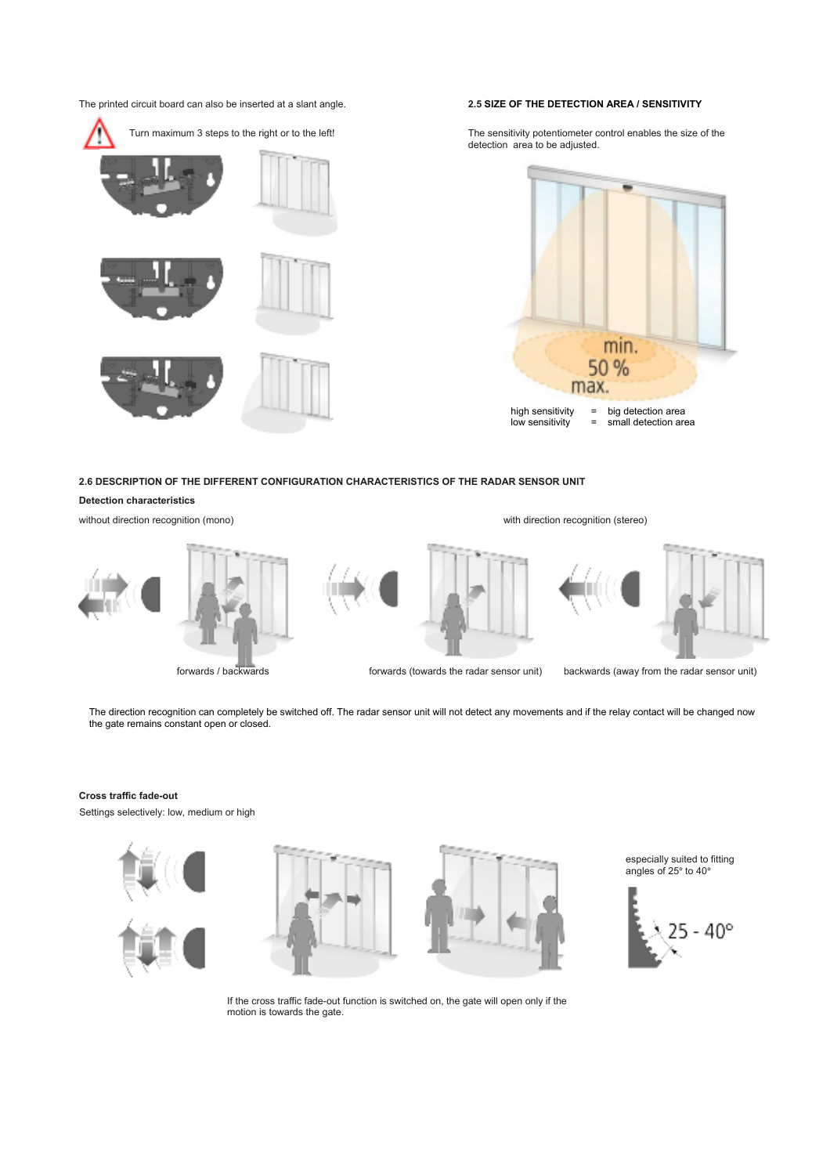The printed circuit board can also be inserted at a slant angle. **2.5 SIZE OF THE DETECTION AREA / SENSITIVITY**



The sensitivity potentiometer control enables the size of the detection area to be adjusted.



#### **6 DESCRIPTION OF THE DIFFERENT CONFIGURATION CHARACTERISTICS OF THE RADAR SENSOR UNIT 2.**

#### **Detection characteristics**

without direction recognition (mono)









with direction recognition (stereo)



forwards / backwards forwards (towards the radar sensor unit) backwards (away from the radar sensor unit)

The direction recognition can completely be switched off. The radar sensor unit will not detect any movements and if the relay contact will be changed now the gate remains constant open or closed.

#### **ross traffic fade-out C**

Settings selectively: low, medium or high





especially suited to fitting angles of 25° to 40°



If the cross traffic fade-out function is switched on, the gate will open only if the motion is towards the gate.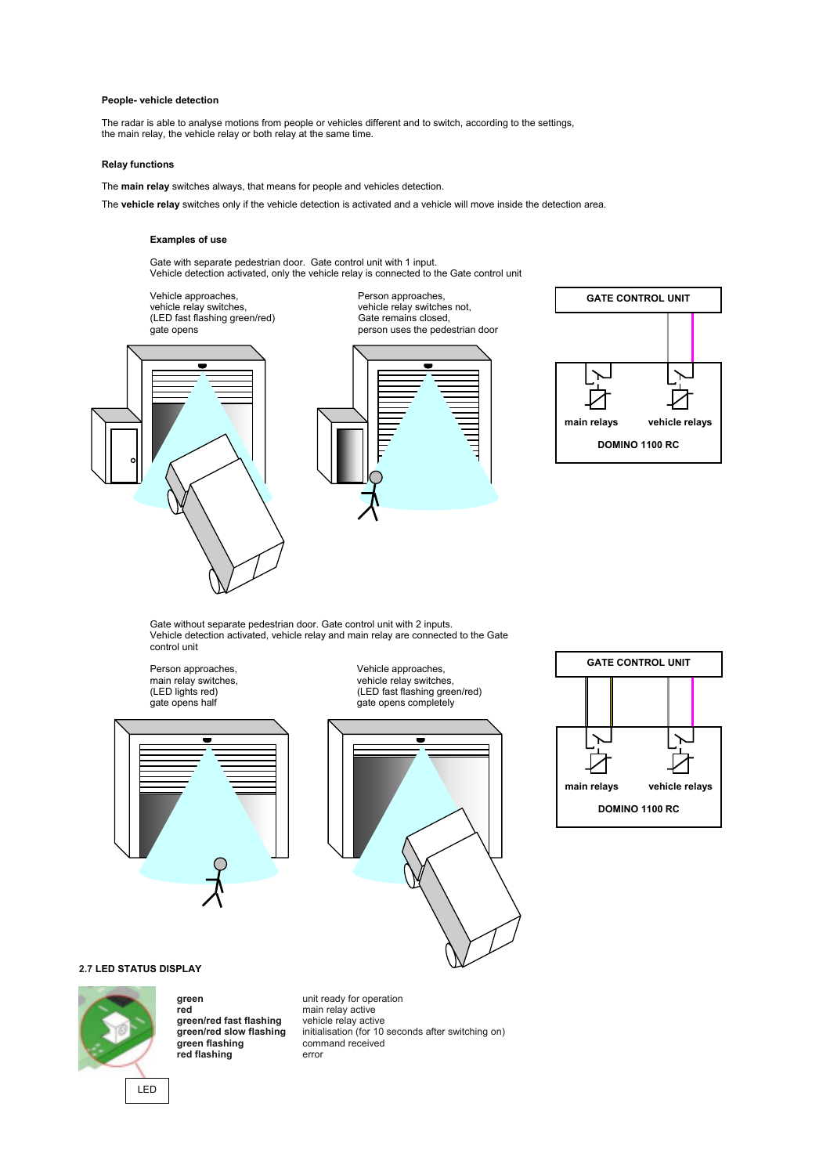#### **People- vehicle detection**

The radar is able to analyse motions from people or vehicles different and to switch, according to the settings, the main relay, the vehicle relay or both relay at the same time.

#### **Relay functions**

The **main relay** switches always, that means for people and vehicles detection.

The **vehicle relay** switches only if the vehicle detection is activated and a vehicle will move inside the detection area.

#### **Examples of use**

Gate with separate pedestrian door. Gate control unit with 1 input. Vehicle detection activated, only the vehicle relay is connected to the Gate control unit

Vehicle approaches,<br>
vehicle relay switches,<br>
(LED fast flashing green/red) Gate remains closed,<br>
Cate remains closed, vehicle relay switches, vehicle relay switches not,







Gate without separate pedestrian door. Gate control unit with 2 inputs. Vehicle detection activated, vehicle relay and main relay are connected to the Gate control unit

Person approaches, vehicle approaches, vehicle approaches, vehicle relay switche<br>
(LED lights red) (LED fast flashing gr



vehicle relay switches, (LED lights red) (LED fast flashing green/red) gate opens completely





#### **2.7 LED STATUS DISPLAY**



**green unit ready for operation**<br> **red main relay active** green/red fast flashing<br>green/red slow flashing **red flashing** commission commission commission commission commission commission commission commission commission commission commission commission commission commission commission commission commission commission commissio

main relay active<br>vehicle relay active initialisation (for 10 seconds after switching on) command received

LED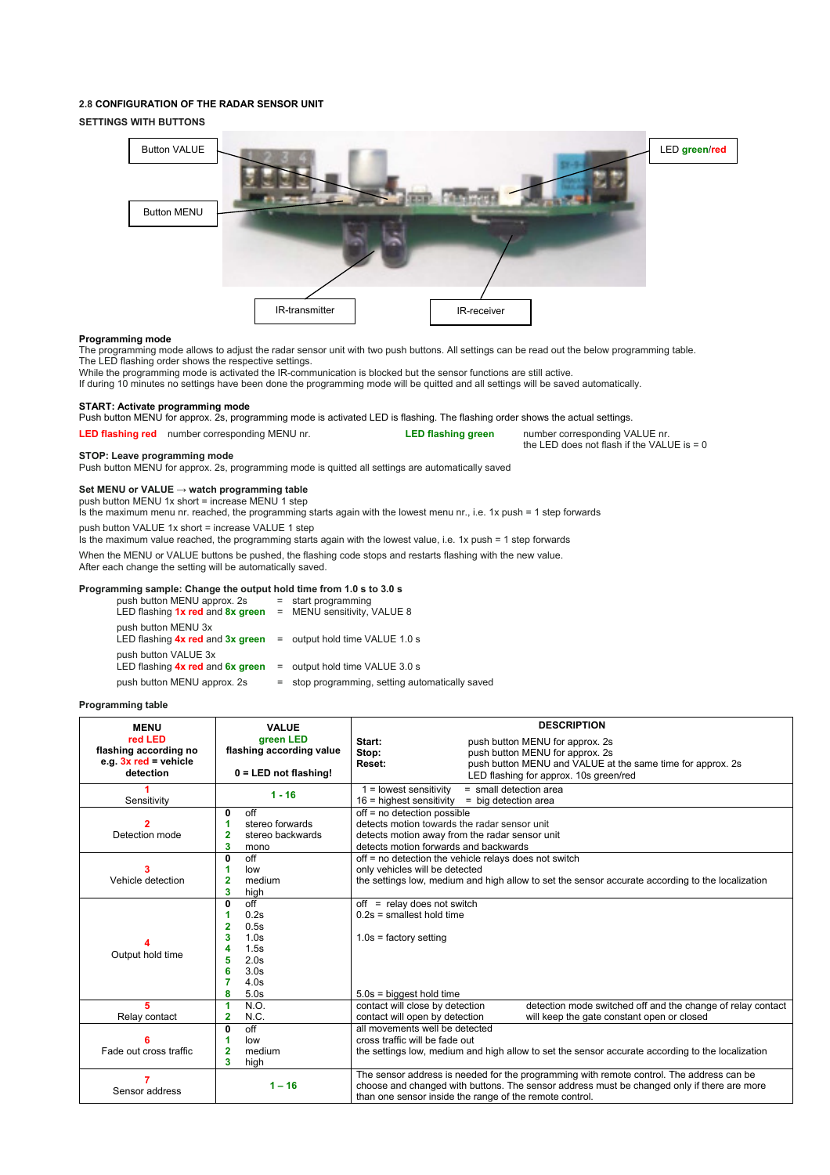#### **2.8 CONFIGURATION OF THE RADAR SENSOR UNIT**

#### **SETTINGS WITH BUTTONS**



the LED does not flash if the VALUE is = 0

#### **Programming mode**

The programming mode allows to adjust the radar sensor unit with two push buttons. All settings can be read out the below programming table. The LED flashing order shows the respective settings.

While the programming mode is activated the IR-communication is blocked but the sensor functions are still active.

If during 10 minutes no settings have been done the programming mode will be quitted and all settings will be saved automatically.

#### **START: Activate programming mode**

Push button MENU for approx. 2s, programming mode is activated LED is flashing. The flashing order shows the actual settings.

**LED flashing red** number corresponding MENU nr. **LED flashing green** number corresponding VALUE nr.

#### **STOP: Leave programming mode**

Push button MENU for approx. 2s, programming mode is quitted all settings are automatically saved

#### **Set MENU or VALUE → watch programming table**

push button MENU 1x short = increase MENU 1 step

Is the maximum menu nr. reached, the programming starts again with the lowest menu nr., i.e. 1x push = 1 step forwards push button VALUE 1x short = increase VALUE 1 step

Is the maximum value reached, the programming starts again with the lowest value, i.e. 1x push = 1 step forwards

When the MENU or VALUE buttons be pushed, the flashing code stops and restarts flashing with the new value.

After each change the setting will be automatically saved.

#### **Programming sample: Change the output hold time from 1.0 s to 3.0 s**

| push button MENU approx. 2s<br>LED flashing 1x red and 8x green |     | $=$ start programming<br>= MENU sensitivity, VALUE 8 |
|-----------------------------------------------------------------|-----|------------------------------------------------------|
| push button MENU 3x<br>LED flashing 4x red and 3x green         |     | = output hold time VALUE 1.0 s                       |
| push button VALUE 3x<br>LED flashing 4x red and 6x green        |     | = output hold time VALUE 3.0 s                       |
| push button MENU approx. 2s                                     | $=$ | stop programming, setting automatically saved        |

#### **Programming table**

| <b>MENU</b>             | <b>VALUE</b>             | <b>DESCRIPTION</b>                                                                               |  |  |
|-------------------------|--------------------------|--------------------------------------------------------------------------------------------------|--|--|
| red LED                 | areen LED                | Start:<br>push button MENU for approx. 2s                                                        |  |  |
| flashing according no   | flashing according value | Stop:<br>push button MENU for approx. 2s                                                         |  |  |
| e.g. $3x$ red = vehicle |                          | push button MENU and VALUE at the same time for approx. 2s<br>Reset:                             |  |  |
| detection               | $0 = LED$ not flashing!  | LED flashing for approx. 10s green/red                                                           |  |  |
| $1 - 16$                |                          | $1 =$ lowest sensitivity<br>= small detection area                                               |  |  |
| Sensitivity             |                          | $16$ = highest sensitivity<br>= big detection area                                               |  |  |
|                         | off<br>$\mathbf 0$       | off = no detection possible                                                                      |  |  |
|                         | stereo forwards          | detects motion towards the radar sensor unit                                                     |  |  |
| Detection mode          | 2<br>stereo backwards    | detects motion away from the radar sensor unit                                                   |  |  |
|                         | 3<br>mono                | detects motion forwards and backwards                                                            |  |  |
|                         | off<br>$\mathbf 0$       | off = no detection the vehicle relays does not switch                                            |  |  |
| 3<br>Vehicle detection  | 1<br>low                 | only vehicles will be detected                                                                   |  |  |
|                         | $\overline{2}$<br>medium | the settings low, medium and high allow to set the sensor accurate according to the localization |  |  |
|                         | 3<br>high                |                                                                                                  |  |  |
|                         | off<br>$\mathbf 0$       | off = relay does not switch                                                                      |  |  |
|                         | 0.2s<br>1                | $0.2s$ = smallest hold time                                                                      |  |  |
|                         | $\overline{2}$<br>0.5s   |                                                                                                  |  |  |
|                         | 3<br>1.0s                | $1.0s =$ factory setting                                                                         |  |  |
| Output hold time        | 1.5s<br>Δ                |                                                                                                  |  |  |
|                         | 5<br>2.0s                |                                                                                                  |  |  |
|                         | 6<br>3.0 <sub>s</sub>    |                                                                                                  |  |  |
|                         | 7<br>4.0s                |                                                                                                  |  |  |
|                         | 8<br>5.0s                | $5.0s$ = biggest hold time                                                                       |  |  |
| 5                       | N.O.<br>1                | detection mode switched off and the change of relay contact<br>contact will close by detection   |  |  |
| Relay contact           | N.C.<br>2                | contact will open by detection<br>will keep the gate constant open or closed                     |  |  |
|                         | off<br>$\mathbf{0}$      | all movements well be detected                                                                   |  |  |
|                         | low<br>1                 | cross traffic will be fade out                                                                   |  |  |
| Fade out cross traffic  | $\overline{2}$<br>medium | the settings low, medium and high allow to set the sensor accurate according to the localization |  |  |
|                         | 3<br>high                |                                                                                                  |  |  |
|                         |                          | The sensor address is needed for the programming with remote control. The address can be         |  |  |
| Sensor address          | $1 - 16$                 | choose and changed with buttons. The sensor address must be changed only if there are more       |  |  |
|                         |                          | than one sensor inside the range of the remote control.                                          |  |  |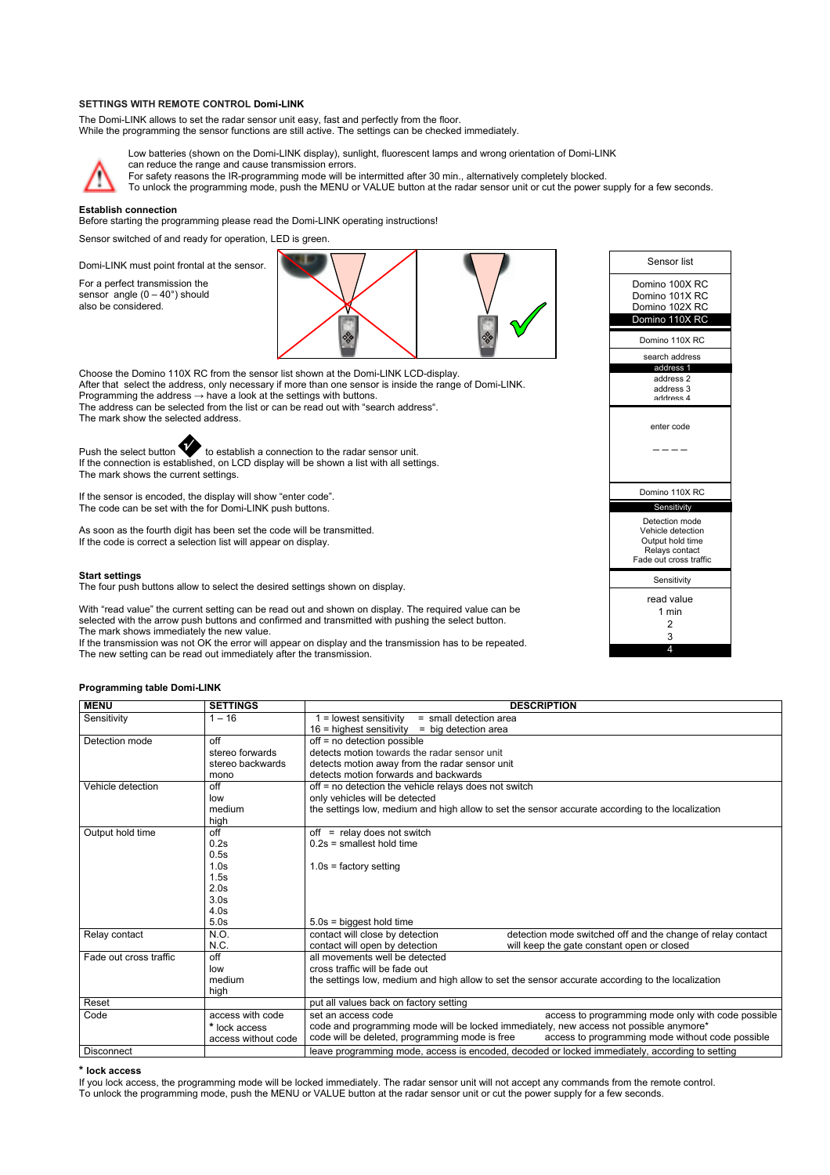#### **SETTINGS WITH REMOTE CONTROL Domi-LINK**

The Domi-LINK allows to set the radar sensor unit easy, fast and perfectly from the floor. While the programming the sensor functions are still active. The settings can be checked immediately.



Low batteries (shown on the Domi-LINK display), sunlight, fluorescent lamps and wrong orientation of Domi-LINK can reduce the range and cause transmission errors.

For safety reasons the IR-programming mode will be intermitted after 30 min., alternatively completely blocked.

To unlock the programming mode, push the MENU or VALUE button at the radar sensor unit or cut the power supply for a few seconds.

#### **Establish connection**

Before starting the programming please read the Domi-LINK operating instructions!

Sensor switched of and ready for operation, LED is green.

Domi-LINK must point frontal at the sensor.

For a perfect transmission the sensor angle  $(0 - 40^\circ)$  should also be considered.



Choose the Domino 110X RC from the sensor list shown at the Domi-LINK LCD-display. After that select the address, only necessary if more than one sensor is inside the range of Domi-LINK. Programming the address  $\rightarrow$  have a look at the settings with buttons. The address can be selected from the list or can be read out with "search address". The mark show the selected address.

Push the select button **to** to establish a connection to the radar sensor unit. If the connection is established, on LCD display will be shown a list with all settings. The mark shows the current settings.

If the sensor is encoded, the display will show "enter code". The code can be set with the for Domi-LINK push buttons.

As soon as the fourth digit has been set the code will be transmitted. If the code is correct a selection list will appear on display.

### **Start settings**

The four push buttons allow to select the desired settings shown on display.

With "read value" the current setting can be read out and shown on display. The required value can be selected with the arrow push buttons and confirmed and transmitted with pushing the select button. The mark shows immediately the new value.

If the transmission was not OK the error will appear on display and the transmission has to be repeated. The new setting can be read out immediately after the transmission.

#### **Programming table Domi-LINK**

| <b>MENU</b>            | <b>SETTINGS</b>     | <b>DESCRIPTION</b>                                                                                 |  |  |
|------------------------|---------------------|----------------------------------------------------------------------------------------------------|--|--|
| Sensitivity            | $1 - 16$            | $=$ lowest sensitivity<br>$=$ small detection area                                                 |  |  |
|                        |                     | $16$ = highest sensitivity<br>= big detection area                                                 |  |  |
| Detection mode         | off                 | off = no detection possible                                                                        |  |  |
|                        | stereo forwards     | detects motion towards the radar sensor unit                                                       |  |  |
|                        | stereo backwards    | detects motion away from the radar sensor unit                                                     |  |  |
|                        | mono                | detects motion forwards and backwards                                                              |  |  |
| Vehicle detection      | off                 | off = no detection the vehicle relays does not switch                                              |  |  |
|                        | low                 | only vehicles will be detected                                                                     |  |  |
|                        | medium              | the settings low, medium and high allow to set the sensor accurate according to the localization   |  |  |
|                        | high                |                                                                                                    |  |  |
| Output hold time       | off                 | $off =$ relay does not switch                                                                      |  |  |
|                        | 0.2s                | $0.2s$ = smallest hold time                                                                        |  |  |
|                        | 0.5s                |                                                                                                    |  |  |
|                        | 1.0s                | $1.0s =$ factory setting                                                                           |  |  |
|                        | 1.5s                |                                                                                                    |  |  |
|                        | 2.0s                |                                                                                                    |  |  |
|                        | 3.0 <sub>s</sub>    |                                                                                                    |  |  |
|                        | 4.0s                |                                                                                                    |  |  |
|                        | 5.0s                | $5.0s =$ biggest hold time                                                                         |  |  |
| Relay contact          | N.O.                | contact will close by detection<br>detection mode switched off and the change of relay contact     |  |  |
|                        | N.C.                | contact will open by detection<br>will keep the gate constant open or closed                       |  |  |
| Fade out cross traffic | off                 | all movements well be detected                                                                     |  |  |
|                        | low                 | cross traffic will be fade out                                                                     |  |  |
|                        | medium              | the settings low, medium and high allow to set the sensor accurate according to the localization   |  |  |
|                        | high                |                                                                                                    |  |  |
| Reset                  |                     | put all values back on factory setting                                                             |  |  |
| Code                   | access with code    | access to programming mode only with code possible<br>set an access code                           |  |  |
|                        | * lock access       | code and programming mode will be locked immediately, new access not possible anymore*             |  |  |
|                        | access without code | code will be deleted, programming mode is free<br>access to programming mode without code possible |  |  |
| <b>Disconnect</b>      |                     | leave programming mode, access is encoded, decoded or locked immediately, according to setting     |  |  |

#### **\* lock access**

If you lock access, the programming mode will be locked immediately. The radar sensor unit will not accept any commands from the remote control. To unlock the programming mode, push the MENU or VALUE button at the radar sensor unit or cut the power supply for a few seconds.

| Sensor list                                                                                         |
|-----------------------------------------------------------------------------------------------------|
| Domino 100X RC<br>Domino 101X RC<br>Domino 102X RC<br>Domino 110X RC                                |
|                                                                                                     |
| Domino 110X RC                                                                                      |
| search address                                                                                      |
| address 1<br>address <sub>2</sub><br>address 3<br>address 4                                         |
| enter code                                                                                          |
|                                                                                                     |
| Domino 110X RC                                                                                      |
| Sensitivity                                                                                         |
| Detection mode<br>Vehicle detection<br>Output hold time<br>Relays contact<br>Fade out cross traffic |
| Sensitivity                                                                                         |
| read value<br>1 min<br>2<br>3                                                                       |